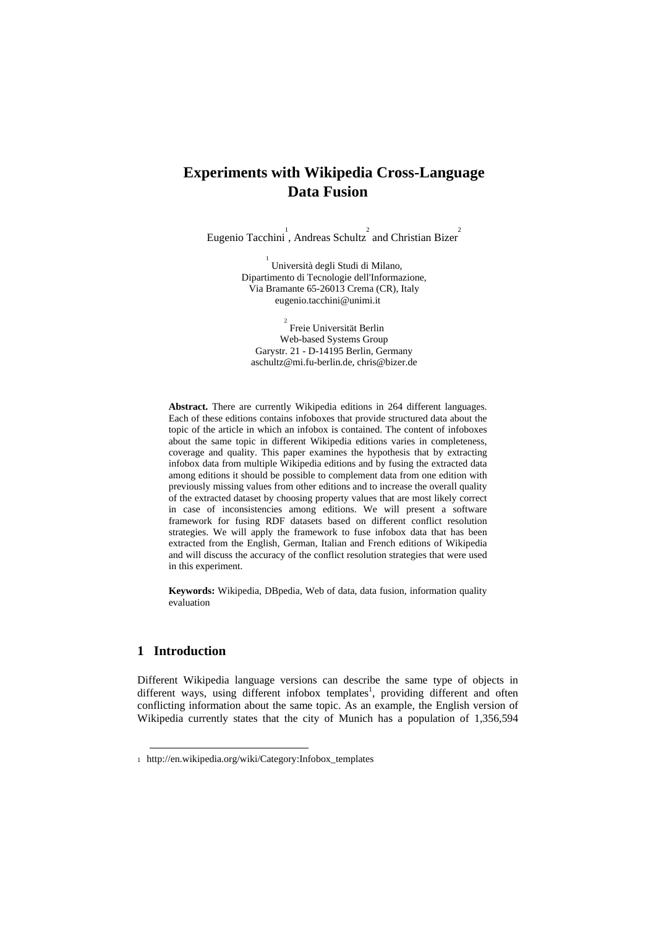# **Experiments with Wikipedia Cross-Language Data Fusion**

Eugenio Tacchini, Andreas Schultz<sup>2</sup> and Christian Bizer<sup>2</sup>

<sup>1</sup> Università degli Studi di Milano, Dipartimento di Tecnologie dell'Informazione, Via Bramante 65-26013 Crema (CR), Italy eugenio.tacchini@unimi.it

2 Freie Universität Berlin Web-based Systems Group Garystr. 21 - D-14195 Berlin, Germany aschultz@mi.fu-berlin.de, chris@bizer.de

**Abstract.** There are currently Wikipedia editions in 264 different languages. Each of these editions contains infoboxes that provide structured data about the topic of the article in which an infobox is contained. The content of infoboxes about the same topic in different Wikipedia editions varies in completeness, coverage and quality. This paper examines the hypothesis that by extracting infobox data from multiple Wikipedia editions and by fusing the extracted data among editions it should be possible to complement data from one edition with previously missing values from other editions and to increase the overall quality of the extracted dataset by choosing property values that are most likely correct in case of inconsistencies among editions. We will present a software framework for fusing RDF datasets based on different conflict resolution strategies. We will apply the framework to fuse infobox data that has been extracted from the English, German, Italian and French editions of Wikipedia and will discuss the accuracy of the conflict resolution strategies that were used in this experiment.

**Keywords:** Wikipedia, DBpedia, Web of data, data fusion, information quality evaluation

### **1 Introduction**

1

Different Wikipedia language versions can describe the same type of objects in different ways, using different infobox templates<sup>1</sup>, providing different and often conflicting information about the same topic. As an example, the English version of Wikipedia currently states that the city of Munich has a population of 1,356,594

<sup>1</sup> http://en.wikipedia.org/wiki/Category:Infobox\_templates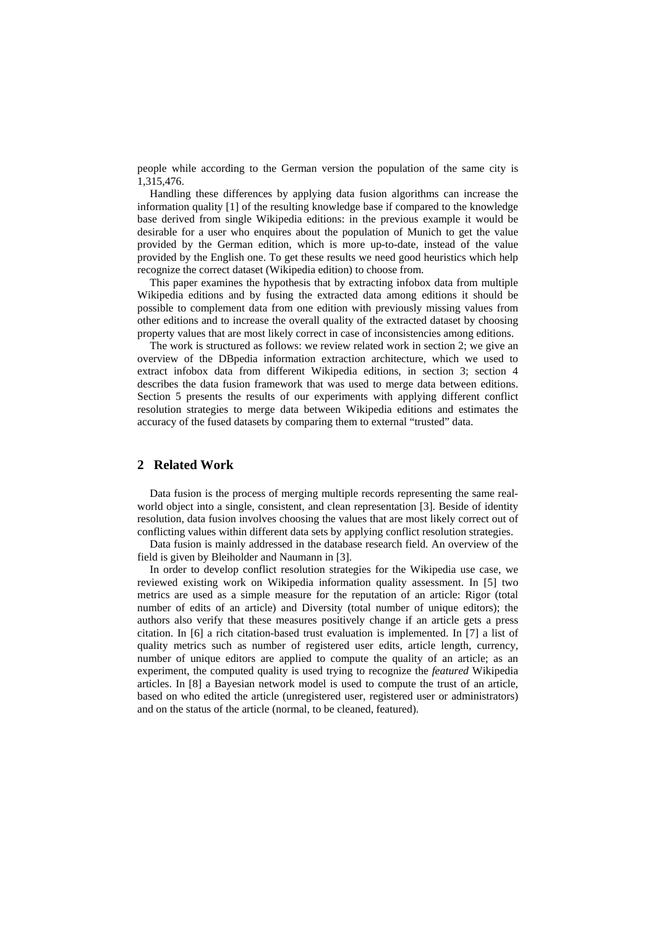people while according to the German version the population of the same city is 1,315,476.

Handling these differences by applying data fusion algorithms can increase the information quality [1] of the resulting knowledge base if compared to the knowledge base derived from single Wikipedia editions: in the previous example it would be desirable for a user who enquires about the population of Munich to get the value provided by the German edition, which is more up-to-date, instead of the value provided by the English one. To get these results we need good heuristics which help recognize the correct dataset (Wikipedia edition) to choose from.

This paper examines the hypothesis that by extracting infobox data from multiple Wikipedia editions and by fusing the extracted data among editions it should be possible to complement data from one edition with previously missing values from other editions and to increase the overall quality of the extracted dataset by choosing property values that are most likely correct in case of inconsistencies among editions.

The work is structured as follows: we review related work in section 2; we give an overview of the DBpedia information extraction architecture, which we used to extract infobox data from different Wikipedia editions, in section 3; section 4 describes the data fusion framework that was used to merge data between editions. Section 5 presents the results of our experiments with applying different conflict resolution strategies to merge data between Wikipedia editions and estimates the accuracy of the fused datasets by comparing them to external "trusted" data.

### **2 Related Work**

Data fusion is the process of merging multiple records representing the same realworld object into a single, consistent, and clean representation [3]. Beside of identity resolution, data fusion involves choosing the values that are most likely correct out of conflicting values within different data sets by applying conflict resolution strategies.

Data fusion is mainly addressed in the database research field. An overview of the field is given by Bleiholder and Naumann in [3].

In order to develop conflict resolution strategies for the Wikipedia use case, we reviewed existing work on Wikipedia information quality assessment. In [5] two metrics are used as a simple measure for the reputation of an article: Rigor (total number of edits of an article) and Diversity (total number of unique editors); the authors also verify that these measures positively change if an article gets a press citation. In [6] a rich citation-based trust evaluation is implemented. In [7] a list of quality metrics such as number of registered user edits, article length, currency, number of unique editors are applied to compute the quality of an article; as an experiment, the computed quality is used trying to recognize the *featured* Wikipedia articles. In [8] a Bayesian network model is used to compute the trust of an article, based on who edited the article (unregistered user, registered user or administrators) and on the status of the article (normal, to be cleaned, featured).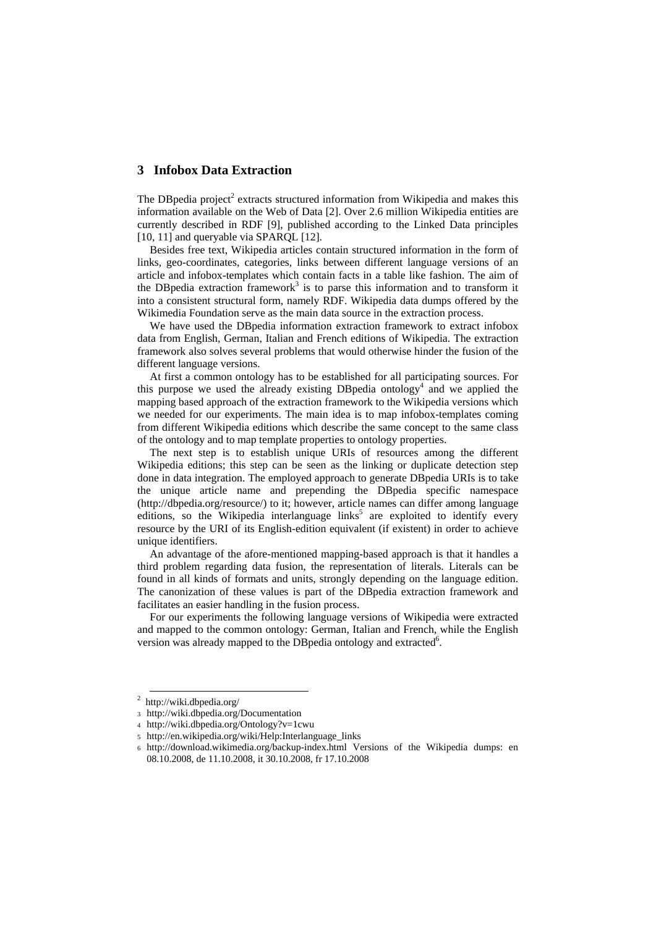## **3 Infobox Data Extraction**

The DB pedia project<sup>2</sup> extracts structured information from Wikipedia and makes this information available on the Web of Data [2]. Over 2.6 million Wikipedia entities are currently described in RDF [9], published according to the Linked Data principles [10, 11] and queryable via SPAROL [12].

Besides free text, Wikipedia articles contain structured information in the form of links, geo-coordinates, categories, links between different language versions of an article and infobox-templates which contain facts in a table like fashion. The aim of the DBpedia extraction framework<sup>3</sup> is to parse this information and to transform it into a consistent structural form, namely RDF. Wikipedia data dumps offered by the Wikimedia Foundation serve as the main data source in the extraction process.

We have used the DBpedia information extraction framework to extract infobox data from English, German, Italian and French editions of Wikipedia. The extraction framework also solves several problems that would otherwise hinder the fusion of the different language versions.

At first a common ontology has to be established for all participating sources. For this purpose we used the already existing DBpedia ontology<sup>4</sup> and we applied the mapping based approach of the extraction framework to the Wikipedia versions which we needed for our experiments. The main idea is to map infobox-templates coming from different Wikipedia editions which describe the same concept to the same class of the ontology and to map template properties to ontology properties.

The next step is to establish unique URIs of resources among the different Wikipedia editions; this step can be seen as the linking or duplicate detection step done in data integration. The employed approach to generate DBpedia URIs is to take the unique article name and prepending the DBpedia specific namespace (http://dbpedia.org/resource/) to it; however, article names can differ among language editions, so the Wikipedia interlanguage  $\text{links}^5$  are exploited to identify every resource by the URI of its English-edition equivalent (if existent) in order to achieve unique identifiers.

An advantage of the afore-mentioned mapping-based approach is that it handles a third problem regarding data fusion, the representation of literals. Literals can be found in all kinds of formats and units, strongly depending on the language edition. The canonization of these values is part of the DBpedia extraction framework and facilitates an easier handling in the fusion process.

For our experiments the following language versions of Wikipedia were extracted and mapped to the common ontology: German, Italian and French, while the English version was already mapped to the DBpedia ontology and extracted<sup>6</sup>.

 <sup>2</sup> http://wiki.dbpedia.org/

<sup>3</sup> http://wiki.dbpedia.org/Documentation

<sup>4</sup> http://wiki.dbpedia.org/Ontology?v=1cwu

<sup>5</sup> http://en.wikipedia.org/wiki/Help:Interlanguage\_links

<sup>6</sup> http://download.wikimedia.org/backup-index.html Versions of the Wikipedia dumps: en 08.10.2008, de 11.10.2008, it 30.10.2008, fr 17.10.2008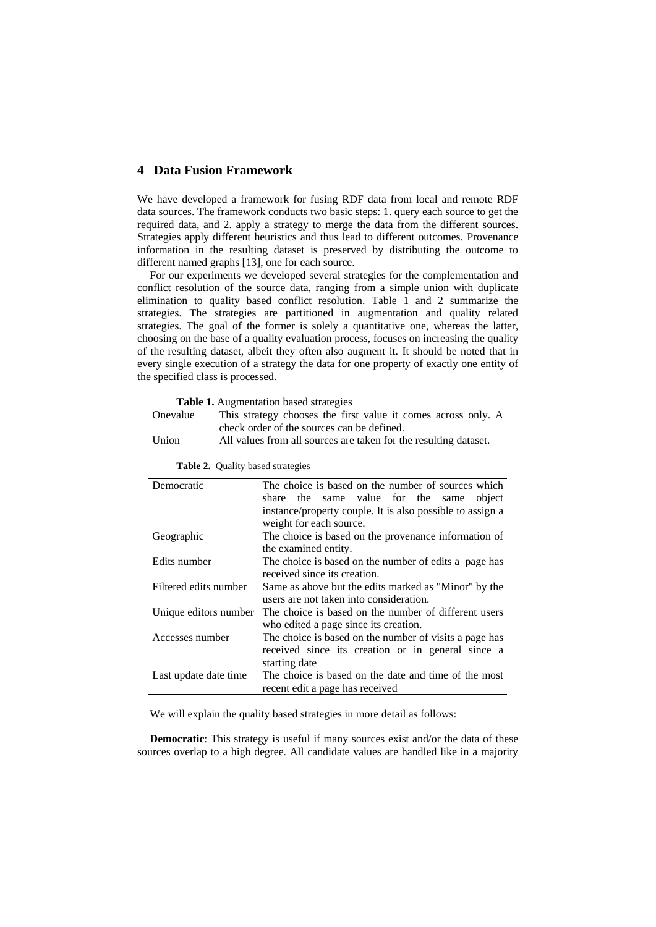### **4 Data Fusion Framework**

We have developed a framework for fusing RDF data from local and remote RDF data sources. The framework conducts two basic steps: 1. query each source to get the required data, and 2. apply a strategy to merge the data from the different sources. Strategies apply different heuristics and thus lead to different outcomes. Provenance information in the resulting dataset is preserved by distributing the outcome to different named graphs [13], one for each source.

For our experiments we developed several strategies for the complementation and conflict resolution of the source data, ranging from a simple union with duplicate elimination to quality based conflict resolution. Table 1 and 2 summarize the strategies. The strategies are partitioned in augmentation and quality related strategies. The goal of the former is solely a quantitative one, whereas the latter, choosing on the base of a quality evaluation process, focuses on increasing the quality of the resulting dataset, albeit they often also augment it. It should be noted that in every single execution of a strategy the data for one property of exactly one entity of the specified class is processed.

 **Table 1.** Augmentation based strategies

| Onevalue | This strategy chooses the first value it comes across only. A    |  |
|----------|------------------------------------------------------------------|--|
|          | check order of the sources can be defined.                       |  |
| Union    | All values from all sources are taken for the resulting dataset. |  |
|          |                                                                  |  |

| Democratic            | The choice is based on the number of sources which        |
|-----------------------|-----------------------------------------------------------|
|                       | share the same value for the same<br>object               |
|                       | instance/property couple. It is also possible to assign a |
|                       | weight for each source.                                   |
| Geographic            | The choice is based on the provenance information of      |
|                       | the examined entity.                                      |
| Edits number          | The choice is based on the number of edits a page has     |
|                       | received since its creation.                              |
| Filtered edits number | Same as above but the edits marked as "Minor" by the      |
|                       | users are not taken into consideration.                   |
| Unique editors number | The choice is based on the number of different users      |
|                       | who edited a page since its creation.                     |
| Accesses number       | The choice is based on the number of visits a page has    |
|                       | received since its creation or in general since a         |
|                       | starting date                                             |
| Last update date time | The choice is based on the date and time of the most      |
|                       | recent edit a page has received                           |

 **Table 2.** Quality based strategies

We will explain the quality based strategies in more detail as follows:

**Democratic**: This strategy is useful if many sources exist and/or the data of these sources overlap to a high degree. All candidate values are handled like in a majority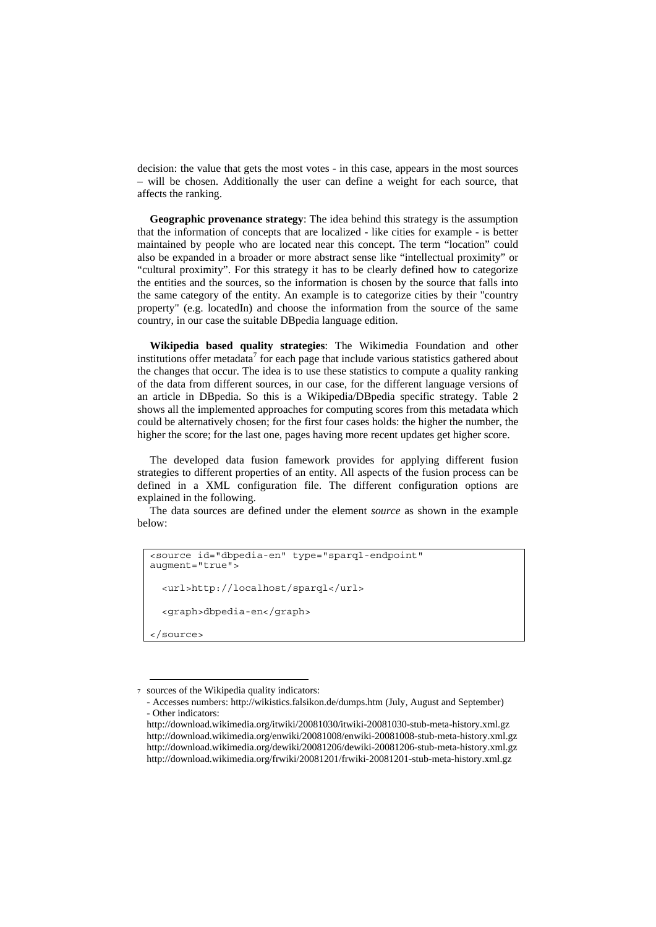decision: the value that gets the most votes - in this case, appears in the most sources – will be chosen. Additionally the user can define a weight for each source, that affects the ranking.

**Geographic provenance strategy**: The idea behind this strategy is the assumption that the information of concepts that are localized - like cities for example - is better maintained by people who are located near this concept. The term "location" could also be expanded in a broader or more abstract sense like "intellectual proximity" or "cultural proximity". For this strategy it has to be clearly defined how to categorize the entities and the sources, so the information is chosen by the source that falls into the same category of the entity. An example is to categorize cities by their "country property" (e.g. locatedIn) and choose the information from the source of the same country, in our case the suitable DBpedia language edition.

**Wikipedia based quality strategies**: The Wikimedia Foundation and other institutions offer metadata<sup>7</sup> for each page that include various statistics gathered about the changes that occur. The idea is to use these statistics to compute a quality ranking of the data from different sources, in our case, for the different language versions of an article in DBpedia. So this is a Wikipedia/DBpedia specific strategy. Table 2 shows all the implemented approaches for computing scores from this metadata which could be alternatively chosen; for the first four cases holds: the higher the number, the higher the score; for the last one, pages having more recent updates get higher score.

The developed data fusion famework provides for applying different fusion strategies to different properties of an entity. All aspects of the fusion process can be defined in a XML configuration file. The different configuration options are explained in the following.

The data sources are defined under the element *source* as shown in the example below:

```
<source id="dbpedia-en" type="sparql-endpoint" 
augment="true"> 
   <url>http://localhost/sparql</url> 
   <graph>dbpedia-en</graph> 
</source>
```
-

<sup>7</sup> sources of the Wikipedia quality indicators:

 <sup>-</sup> Accesses numbers: http://wikistics.falsikon.de/dumps.htm (July, August and September) - Other indicators:

http://download.wikimedia.org/itwiki/20081030/itwiki-20081030-stub-meta-history.xml.gz http://download.wikimedia.org/enwiki/20081008/enwiki-20081008-stub-meta-history.xml.gz http://download.wikimedia.org/dewiki/20081206/dewiki-20081206-stub-meta-history.xml.gz http://download.wikimedia.org/frwiki/20081201/frwiki-20081201-stub-meta-history.xml.gz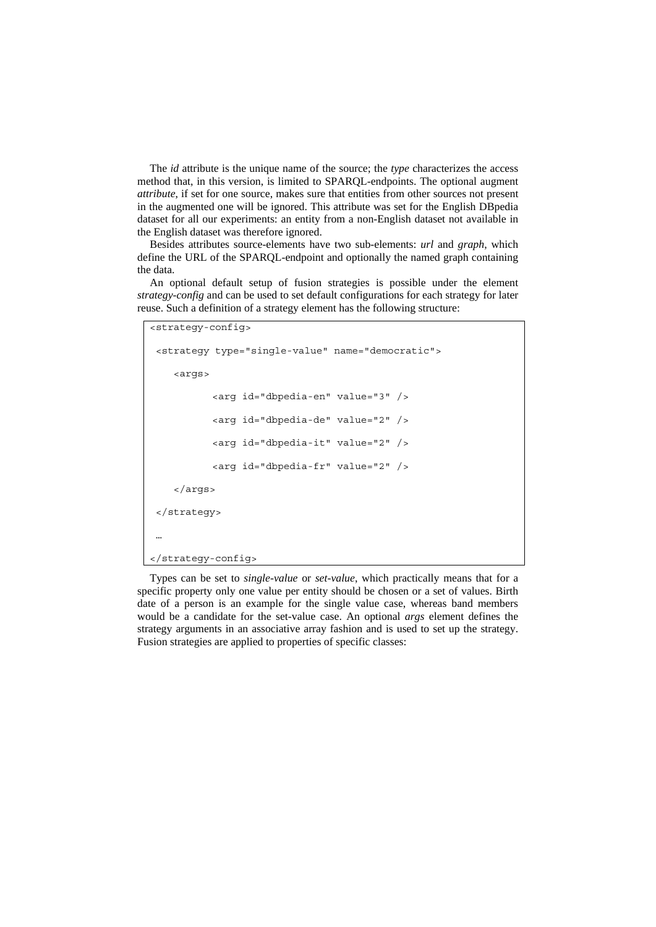The *id* attribute is the unique name of the source; the *type* characterizes the access method that, in this version, is limited to SPARQL-endpoints. The optional augment *attribute*, if set for one source, makes sure that entities from other sources not present in the augmented one will be ignored. This attribute was set for the English DBpedia dataset for all our experiments: an entity from a non-English dataset not available in the English dataset was therefore ignored.

Besides attributes source-elements have two sub-elements: *url* and *graph*, which define the URL of the SPARQL-endpoint and optionally the named graph containing the data.

An optional default setup of fusion strategies is possible under the element *strategy-config* and can be used to set default configurations for each strategy for later reuse. Such a definition of a strategy element has the following structure:

```
<strategy-config> 
  <strategy type="single-value" name="democratic"> 
     <args> 
            <arg id="dbpedia-en" value="3" /> 
            <arg id="dbpedia-de" value="2" /> 
            <arg id="dbpedia-it" value="2" /> 
            <arg id="dbpedia-fr" value="2" /> 
     </args> 
  </strategy> 
 … 
</strategy-config>
```
Types can be set to *single-value* or *set-value*, which practically means that for a specific property only one value per entity should be chosen or a set of values. Birth date of a person is an example for the single value case, whereas band members would be a candidate for the set-value case. An optional *args* element defines the strategy arguments in an associative array fashion and is used to set up the strategy. Fusion strategies are applied to properties of specific classes: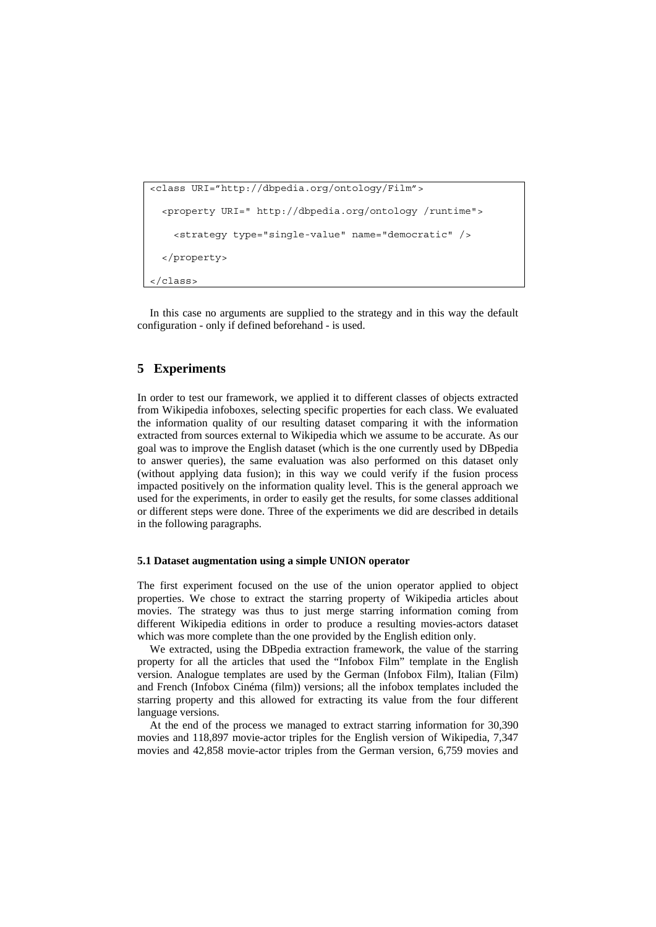```
<class URI="http://dbpedia.org/ontology/Film"> 
   <property URI=" http://dbpedia.org/ontology /runtime"> 
     <strategy type="single-value" name="democratic" /> 
   </property> 
</class>
```
In this case no arguments are supplied to the strategy and in this way the default configuration - only if defined beforehand - is used.

## **5 Experiments**

In order to test our framework, we applied it to different classes of objects extracted from Wikipedia infoboxes, selecting specific properties for each class. We evaluated the information quality of our resulting dataset comparing it with the information extracted from sources external to Wikipedia which we assume to be accurate. As our goal was to improve the English dataset (which is the one currently used by DBpedia to answer queries), the same evaluation was also performed on this dataset only (without applying data fusion); in this way we could verify if the fusion process impacted positively on the information quality level. This is the general approach we used for the experiments, in order to easily get the results, for some classes additional or different steps were done. Three of the experiments we did are described in details in the following paragraphs.

### **5.1 Dataset augmentation using a simple UNION operator**

The first experiment focused on the use of the union operator applied to object properties. We chose to extract the starring property of Wikipedia articles about movies. The strategy was thus to just merge starring information coming from different Wikipedia editions in order to produce a resulting movies-actors dataset which was more complete than the one provided by the English edition only.

We extracted, using the DBpedia extraction framework, the value of the starring property for all the articles that used the "Infobox Film" template in the English version. Analogue templates are used by the German (Infobox Film), Italian (Film) and French (Infobox Cinéma (film)) versions; all the infobox templates included the starring property and this allowed for extracting its value from the four different language versions.

At the end of the process we managed to extract starring information for 30,390 movies and 118,897 movie-actor triples for the English version of Wikipedia, 7,347 movies and 42,858 movie-actor triples from the German version, 6,759 movies and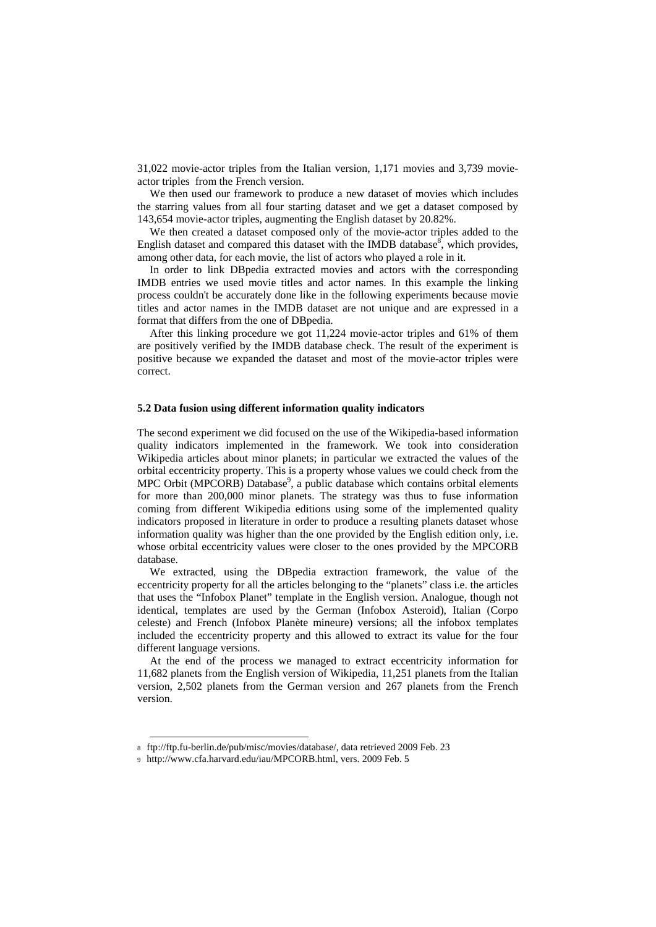31,022 movie-actor triples from the Italian version, 1,171 movies and 3,739 movieactor triples from the French version.

We then used our framework to produce a new dataset of movies which includes the starring values from all four starting dataset and we get a dataset composed by 143,654 movie-actor triples, augmenting the English dataset by 20.82%.

We then created a dataset composed only of the movie-actor triples added to the English dataset and compared this dataset with the IMDB database<sup>8</sup>, which provides, among other data, for each movie, the list of actors who played a role in it.

In order to link DBpedia extracted movies and actors with the corresponding IMDB entries we used movie titles and actor names. In this example the linking process couldn't be accurately done like in the following experiments because movie titles and actor names in the IMDB dataset are not unique and are expressed in a format that differs from the one of DBpedia.

After this linking procedure we got 11,224 movie-actor triples and 61% of them are positively verified by the IMDB database check. The result of the experiment is positive because we expanded the dataset and most of the movie-actor triples were correct.

#### **5.2 Data fusion using different information quality indicators**

The second experiment we did focused on the use of the Wikipedia-based information quality indicators implemented in the framework. We took into consideration Wikipedia articles about minor planets; in particular we extracted the values of the orbital eccentricity property. This is a property whose values we could check from the MPC Orbit (MPCORB) Database<sup>9</sup>, a public database which contains orbital elements for more than 200,000 minor planets. The strategy was thus to fuse information coming from different Wikipedia editions using some of the implemented quality indicators proposed in literature in order to produce a resulting planets dataset whose information quality was higher than the one provided by the English edition only, i.e. whose orbital eccentricity values were closer to the ones provided by the MPCORB database.

We extracted, using the DBpedia extraction framework, the value of the eccentricity property for all the articles belonging to the "planets" class i.e. the articles that uses the "Infobox Planet" template in the English version. Analogue, though not identical, templates are used by the German (Infobox Asteroid), Italian (Corpo celeste) and French (Infobox Planète mineure) versions; all the infobox templates included the eccentricity property and this allowed to extract its value for the four different language versions.

At the end of the process we managed to extract eccentricity information for 11,682 planets from the English version of Wikipedia, 11,251 planets from the Italian version, 2,502 planets from the German version and 267 planets from the French version.

-

<sup>8</sup> ftp://ftp.fu-berlin.de/pub/misc/movies/database/, data retrieved 2009 Feb. 23

<sup>9</sup> http://www.cfa.harvard.edu/iau/MPCORB.html, vers. 2009 Feb. 5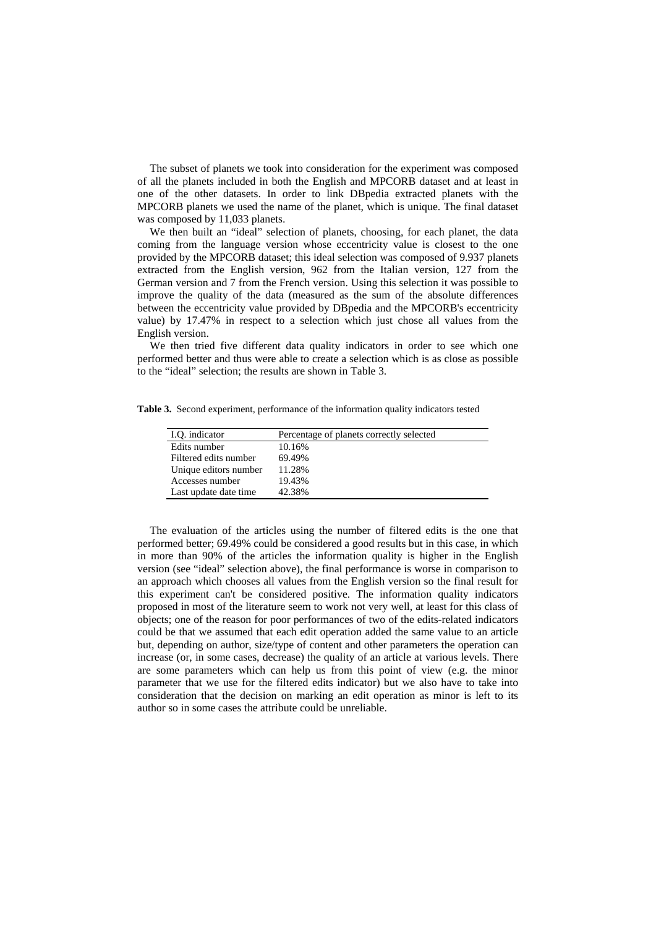The subset of planets we took into consideration for the experiment was composed of all the planets included in both the English and MPCORB dataset and at least in one of the other datasets. In order to link DBpedia extracted planets with the MPCORB planets we used the name of the planet, which is unique. The final dataset was composed by 11,033 planets.

We then built an "ideal" selection of planets, choosing, for each planet, the data coming from the language version whose eccentricity value is closest to the one provided by the MPCORB dataset; this ideal selection was composed of 9.937 planets extracted from the English version, 962 from the Italian version, 127 from the German version and 7 from the French version. Using this selection it was possible to improve the quality of the data (measured as the sum of the absolute differences between the eccentricity value provided by DBpedia and the MPCORB's eccentricity value) by 17.47% in respect to a selection which just chose all values from the English version.

We then tried five different data quality indicators in order to see which one performed better and thus were able to create a selection which is as close as possible to the "ideal" selection; the results are shown in Table 3.

**Table 3.** Second experiment, performance of the information quality indicators tested

| I.O. indicator        | Percentage of planets correctly selected |
|-----------------------|------------------------------------------|
| Edits number          | 10.16%                                   |
| Filtered edits number | 69.49%                                   |
| Unique editors number | 11.28%                                   |
| Accesses number       | 19.43%                                   |
| Last update date time | 42.38%                                   |
|                       |                                          |

The evaluation of the articles using the number of filtered edits is the one that performed better; 69.49% could be considered a good results but in this case, in which in more than 90% of the articles the information quality is higher in the English version (see "ideal" selection above), the final performance is worse in comparison to an approach which chooses all values from the English version so the final result for this experiment can't be considered positive. The information quality indicators proposed in most of the literature seem to work not very well, at least for this class of objects; one of the reason for poor performances of two of the edits-related indicators could be that we assumed that each edit operation added the same value to an article but, depending on author, size/type of content and other parameters the operation can increase (or, in some cases, decrease) the quality of an article at various levels. There are some parameters which can help us from this point of view (e.g. the minor parameter that we use for the filtered edits indicator) but we also have to take into consideration that the decision on marking an edit operation as minor is left to its author so in some cases the attribute could be unreliable.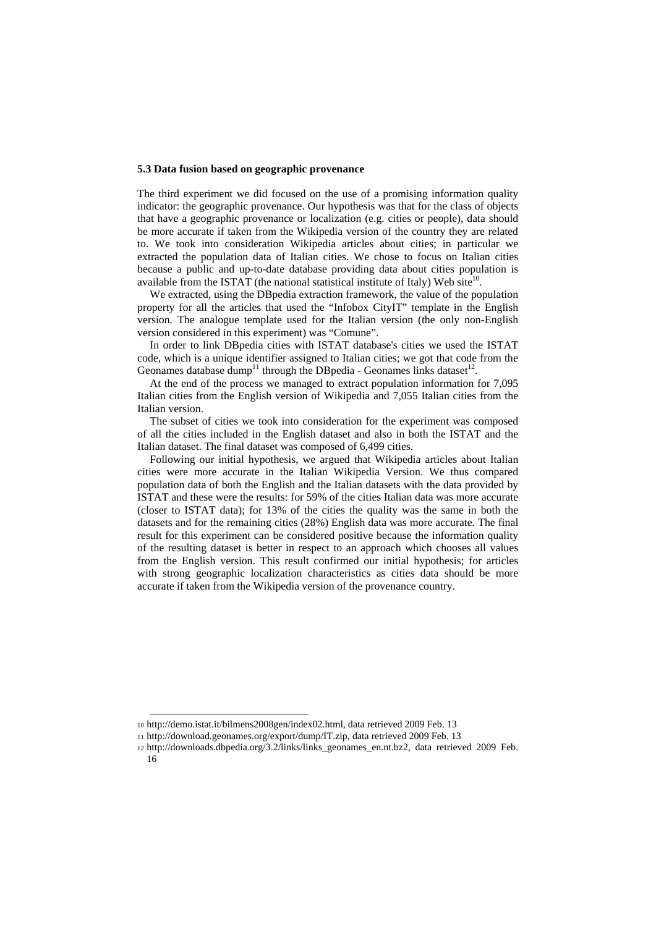#### **5.3 Data fusion based on geographic provenance**

The third experiment we did focused on the use of a promising information quality indicator: the geographic provenance. Our hypothesis was that for the class of objects that have a geographic provenance or localization (e.g. cities or people), data should be more accurate if taken from the Wikipedia version of the country they are related to. We took into consideration Wikipedia articles about cities; in particular we extracted the population data of Italian cities. We chose to focus on Italian cities because a public and up-to-date database providing data about cities population is available from the ISTAT (the national statistical institute of Italy) Web site $10$ .

We extracted, using the DBpedia extraction framework, the value of the population property for all the articles that used the "Infobox CityIT" template in the English version. The analogue template used for the Italian version (the only non-English version considered in this experiment) was "Comune".

In order to link DBpedia cities with ISTAT database's cities we used the ISTAT code, which is a unique identifier assigned to Italian cities; we got that code from the Geonames database dump<sup>11</sup> through the DBpedia - Geonames links dataset<sup>12</sup>.

At the end of the process we managed to extract population information for 7,095 Italian cities from the English version of Wikipedia and 7,055 Italian cities from the Italian version.

The subset of cities we took into consideration for the experiment was composed of all the cities included in the English dataset and also in both the ISTAT and the Italian dataset. The final dataset was composed of 6,499 cities.

Following our initial hypothesis, we argued that Wikipedia articles about Italian cities were more accurate in the Italian Wikipedia Version. We thus compared population data of both the English and the Italian datasets with the data provided by ISTAT and these were the results: for 59% of the cities Italian data was more accurate (closer to ISTAT data); for 13% of the cities the quality was the same in both the datasets and for the remaining cities (28%) English data was more accurate. The final result for this experiment can be considered positive because the information quality of the resulting dataset is better in respect to an approach which chooses all values from the English version. This result confirmed our initial hypothesis; for articles with strong geographic localization characteristics as cities data should be more accurate if taken from the Wikipedia version of the provenance country.

-

<sup>10</sup> http://demo.istat.it/bilmens2008gen/index02.html, data retrieved 2009 Feb. 13

<sup>11</sup> http://download.geonames.org/export/dump/IT.zip, data retrieved 2009 Feb. 13

<sup>12</sup> http://downloads.dbpedia.org/3.2/links/links\_geonames\_en.nt.bz2, data retrieved 2009 Feb.

<sup>16</sup>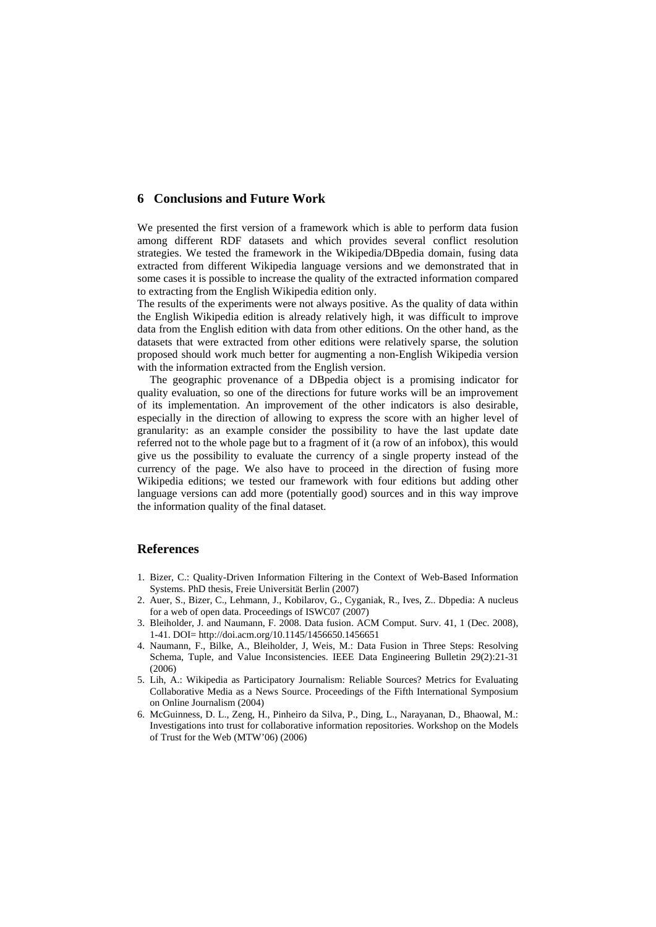### **6 Conclusions and Future Work**

We presented the first version of a framework which is able to perform data fusion among different RDF datasets and which provides several conflict resolution strategies. We tested the framework in the Wikipedia/DBpedia domain, fusing data extracted from different Wikipedia language versions and we demonstrated that in some cases it is possible to increase the quality of the extracted information compared to extracting from the English Wikipedia edition only.

The results of the experiments were not always positive. As the quality of data within the English Wikipedia edition is already relatively high, it was difficult to improve data from the English edition with data from other editions. On the other hand, as the datasets that were extracted from other editions were relatively sparse, the solution proposed should work much better for augmenting a non-English Wikipedia version with the information extracted from the English version.

The geographic provenance of a DBpedia object is a promising indicator for quality evaluation, so one of the directions for future works will be an improvement of its implementation. An improvement of the other indicators is also desirable, especially in the direction of allowing to express the score with an higher level of granularity: as an example consider the possibility to have the last update date referred not to the whole page but to a fragment of it (a row of an infobox), this would give us the possibility to evaluate the currency of a single property instead of the currency of the page. We also have to proceed in the direction of fusing more Wikipedia editions; we tested our framework with four editions but adding other language versions can add more (potentially good) sources and in this way improve the information quality of the final dataset.

## **References**

- 1. Bizer, C.: Quality-Driven Information Filtering in the Context of Web-Based Information Systems. PhD thesis, Freie Universität Berlin (2007)
- 2. Auer, S., Bizer, C., Lehmann, J., Kobilarov, G., Cyganiak, R., Ives, Z.. Dbpedia: A nucleus for a web of open data. Proceedings of ISWC07 (2007)
- 3. Bleiholder, J. and Naumann, F. 2008. Data fusion. ACM Comput. Surv. 41, 1 (Dec. 2008), 1-41. DOI= http://doi.acm.org/10.1145/1456650.1456651
- 4. Naumann, F., Bilke, A., Bleiholder, J, Weis, M.: Data Fusion in Three Steps: Resolving Schema, Tuple, and Value Inconsistencies. IEEE Data Engineering Bulletin 29(2):21-31 (2006)
- 5. Lih, A.: Wikipedia as Participatory Journalism: Reliable Sources? Metrics for Evaluating Collaborative Media as a News Source. Proceedings of the Fifth International Symposium on Online Journalism (2004)
- 6. McGuinness, D. L., Zeng, H., Pinheiro da Silva, P., Ding, L., Narayanan, D., Bhaowal, M.: Investigations into trust for collaborative information repositories. Workshop on the Models of Trust for the Web (MTW'06) (2006)